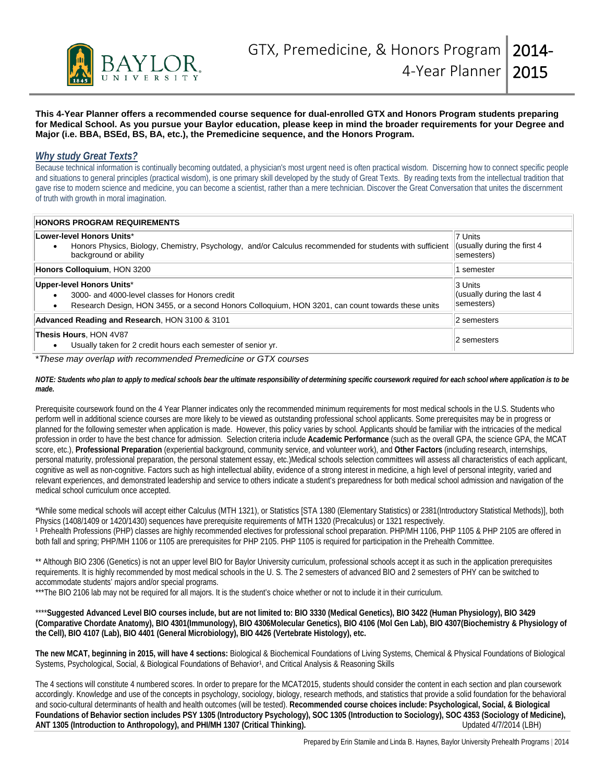

**This 4-Year Planner offers a recommended course sequence for dual-enrolled GTX and Honors Program students preparing for Medical School. As you pursue your Baylor education, please keep in mind the broader requirements for your Degree and Major (i.e. BBA, BSEd, BS, BA, etc.), the Premedicine sequence, and the Honors Program.**

## *Why study Great Texts?*

Because technical information is continually becoming outdated, a physician's most urgent need is often practical wisdom. Discerning how to connect specific people and situations to general principles (practical wisdom), is one primary skill developed by the study of Great Texts. By reading texts from the intellectual tradition that gave rise to modern science and medicine, you can become a scientist, rather than a mere technician. Discover the Great Conversation that unites the discernment of truth with growth in moral imagination.

| <b>HONORS PROGRAM REQUIREMENTS</b>                                                                                                                                               |                                                      |
|----------------------------------------------------------------------------------------------------------------------------------------------------------------------------------|------------------------------------------------------|
| Lower-level Honors Units*<br>Honors Physics, Biology, Chemistry, Psychology, and/or Calculus recommended for students with sufficient<br>background or ability                   | 7 Units<br>(usually during the first 4<br>semesters) |
| Honors Colloguium, HON 3200                                                                                                                                                      | semester                                             |
| Upper-level Honors Units*<br>3000- and 4000-level classes for Honors credit<br>Research Design, HON 3455, or a second Honors Colloquium, HON 3201, can count towards these units | 3 Units<br>(usually during the last 4)<br>semesters) |
| Advanced Reading and Research, HON 3100 & 3101                                                                                                                                   | 2 semesters                                          |
| Thesis Hours, HON 4V87<br>Usually taken for 2 credit hours each semester of senior yr.                                                                                           | 2 semesters                                          |

\**These may overlap with recommended Premedicine or GTX courses*

*NOTE: Students who plan to apply to medical schools bear the ultimate responsibility of determining specific coursework required for each school where application is to be made.* 

Prerequisite coursework found on the 4 Year Planner indicates only the recommended minimum requirements for most medical schools in the U.S. Students who perform well in additional science courses are more likely to be viewed as outstanding professional school applicants. Some prerequisites may be in progress or planned for the following semester when application is made. However, this policy varies by school. Applicants should be familiar with the intricacies of the medical profession in order to have the best chance for admission. Selection criteria include **Academic Performance** (such as the overall GPA, the science GPA, the MCAT score, etc.), **Professional Preparation** (experiential background, community service, and volunteer work), and **Other Factors** (including research, internships, personal maturity, professional preparation, the personal statement essay, etc.)Medical schools selection committees will assess all characteristics of each applicant, cognitive as well as non-cognitive. Factors such as high intellectual ability, evidence of a strong interest in medicine, a high level of personal integrity, varied and relevant experiences, and demonstrated leadership and service to others indicate a student's preparedness for both medical school admission and navigation of the medical school curriculum once accepted.

\*While some medical schools will accept either Calculus (MTH 1321), or Statistics [STA 1380 (Elementary Statistics) or 2381(Introductory Statistical Methods)], both Physics (1408/1409 or 1420/1430) sequences have prerequisite requirements of MTH 1320 (Precalculus) or 1321 respectively. <sup>1</sup> Prehealth Professions (PHP) classes are highly recommended electives for professional school preparation. PHP/MH 1106, PHP 1105 & PHP 2105 are offered in both fall and spring; PHP/MH 1106 or 1105 are prerequisites for PHP 2105. PHP 1105 is required for participation in the Prehealth Committee.

\*\* Although BIO 2306 (Genetics) is not an upper level BIO for Baylor University curriculum, professional schools accept it as such in the application prerequisites requirements. It is highly recommended by most medical schools in the U. S. The 2 semesters of advanced BIO and 2 semesters of PHY can be switched to accommodate students' majors and/or special programs.

\*\*\*The BIO 2106 lab may not be required for all majors. It is the student's choice whether or not to include it in their curriculum.

\*\*\*\***Suggested Advanced Level BIO courses include, but are not limited to: BIO 3330 (Medical Genetics), BIO 3422 (Human Physiology), BIO 3429 (Comparative Chordate Anatomy), BIO 4301(Immunology), BIO 4306Molecular Genetics), BIO 4106 (Mol Gen Lab), BIO 4307(Biochemistry & Physiology of the Cell), BIO 4107 (Lab), BIO 4401 (General Microbiology), BIO 4426 (Vertebrate Histology), etc.**

**The new MCAT, beginning in 2015, will have 4 sections:** Biological & Biochemical Foundations of Living Systems, Chemical & Physical Foundations of Biological Systems, Psychological, Social, & Biological Foundations of Behavior<sup>1</sup>, and Critical Analysis & Reasoning Skills

The 4 sections will constitute 4 numbered scores. In order to prepare for the MCAT2015, students should consider the content in each section and plan coursework accordingly. Knowledge and use of the concepts in psychology, sociology, biology, research methods, and statistics that provide a solid foundation for the behavioral and socio-cultural determinants of health and health outcomes (will be tested). **Recommended course choices include: Psychological, Social, & Biological Foundations of Behavior section includes PSY 1305 (Introductory Psychology), SOC 1305 (Introduction to Sociology), SOC 4353 (Sociology of Medicine),**  ANT 1305 (Introduction to Anthropology), and PHI/MH 1307 (Critical Thinking).